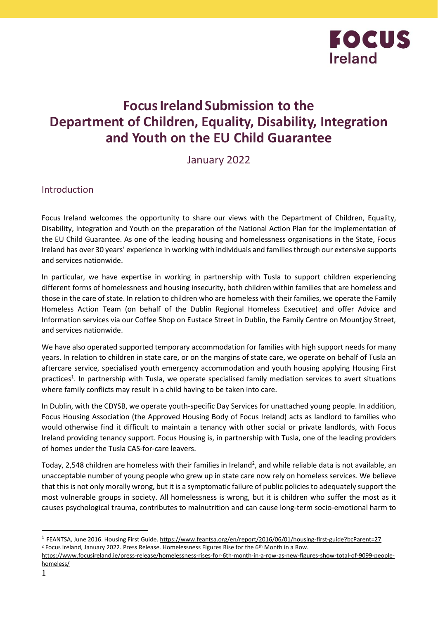

## **FocusIreland Submission to the Department of Children, Equality, Disability, Integration and Youth on the EU Child Guarantee**

January 2022

Introduction

Focus Ireland welcomes the opportunity to share our views with the Department of Children, Equality, Disability, Integration and Youth on the preparation of the National Action Plan for the implementation of the EU Child Guarantee. As one of the leading housing and homelessness organisations in the State, Focus Ireland has over 30 years' experience in working with individuals and families through our extensive supports and services nationwide.

In particular, we have expertise in working in partnership with Tusla to support children experiencing different forms of homelessness and housing insecurity, both children within families that are homeless and those in the care of state. In relation to children who are homeless with their families, we operate the Family Homeless Action Team (on behalf of the Dublin Regional Homeless Executive) and offer Advice and Information services via our Coffee Shop on Eustace Street in Dublin, the Family Centre on Mountjoy Street, and services nationwide.

We have also operated supported temporary accommodation for families with high support needs for many years. In relation to children in state care, or on the margins of state care, we operate on behalf of Tusla an aftercare service, specialised youth emergency accommodation and youth housing applying Housing First practices<sup>1</sup>. In partnership with Tusla, we operate specialised family mediation services to avert situations where family conflicts may result in a child having to be taken into care.

In Dublin, with the CDYSB, we operate youth-specific Day Services for unattached young people. In addition, Focus Housing Association (the Approved Housing Body of Focus Ireland) acts as landlord to families who would otherwise find it difficult to maintain a tenancy with other social or private landlords, with Focus Ireland providing tenancy support. Focus Housing is, in partnership with Tusla, one of the leading providers of homes under the Tusla CAS-for-care leavers.

Today, 2,548 children are homeless with their families in Ireland<sup>2</sup>, and while reliable data is not available, an unacceptable number of young people who grew up in state care now rely on homeless services. We believe that this is not only morally wrong, but it is a symptomatic failure of public policies to adequately support the most vulnerable groups in society. All homelessness is wrong, but it is children who suffer the most as it causes psychological trauma, contributes to malnutrition and can cause long-term socio-emotional harm to

<sup>&</sup>lt;sup>1</sup> FEANTSA, June 2016. Housing First Guide[. https://www.feantsa.org/en/report/2016/06/01/housing-first-guide?bcParent=27](https://www.feantsa.org/en/report/2016/06/01/housing-first-guide?bcParent=27) <sup>2</sup> Focus Ireland, January 2022. Press Release. Homelessness Figures Rise for the 6th Month in a Row.

[https://www.focusireland.ie/press-release/homelessness-rises-for-6th-month-in-a-row-as-new-figures-show-total-of-9099-people](https://www.focusireland.ie/press-release/homelessness-rises-for-6th-month-in-a-row-as-new-figures-show-total-of-9099-people-homeless/)[homeless/](https://www.focusireland.ie/press-release/homelessness-rises-for-6th-month-in-a-row-as-new-figures-show-total-of-9099-people-homeless/)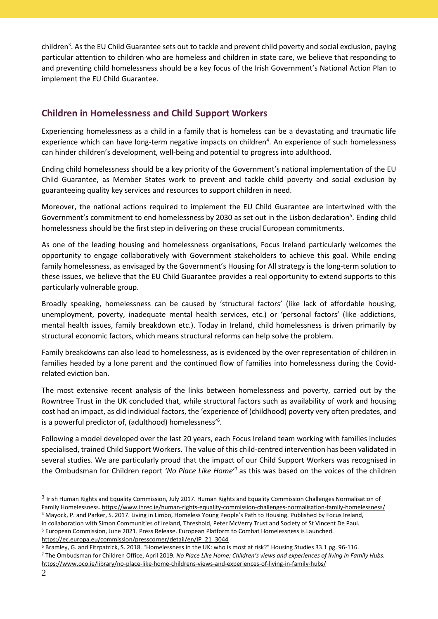children<sup>3</sup>. As the EU Child Guarantee sets out to tackle and prevent child poverty and social exclusion, paying particular attention to children who are homeless and children in state care, we believe that responding to and preventing child homelessness should be a key focus of the Irish Government's National Action Plan to implement the EU Child Guarantee.

## **Children in Homelessness and Child Support Workers**

Experiencing homelessness as a child in a family that is homeless can be a devastating and traumatic life experience which can have long-term negative impacts on children<sup>4</sup>. An experience of such homelessness can hinder children's development, well-being and potential to progress into adulthood.

Ending child homelessness should be a key priority of the Government's national implementation of the EU Child Guarantee, as Member States work to prevent and tackle child poverty and social exclusion by guaranteeing quality key services and resources to support children in need.

Moreover, the national actions required to implement the EU Child Guarantee are intertwined with the Government's commitment to end homelessness by 2030 as set out in the Lisbon declaration<sup>5</sup>. Ending child homelessness should be the first step in delivering on these crucial European commitments.

As one of the leading housing and homelessness organisations, Focus Ireland particularly welcomes the opportunity to engage collaboratively with Government stakeholders to achieve this goal. While ending family homelessness, as envisaged by the Government's Housing for All strategy is the long-term solution to these issues, we believe that the EU Child Guarantee provides a real opportunity to extend supports to this particularly vulnerable group.

Broadly speaking, homelessness can be caused by 'structural factors' (like lack of affordable housing, unemployment, poverty, inadequate mental health services, etc.) or 'personal factors' (like addictions, mental health issues, family breakdown etc.). Today in Ireland, child homelessness is driven primarily by structural economic factors, which means structural reforms can help solve the problem.

Family breakdowns can also lead to homelessness, as is evidenced by the over representation of children in families headed by a lone parent and the continued flow of families into homelessness during the Covidrelated eviction ban.

The most extensive recent analysis of the links between homelessness and poverty, carried out by the Rowntree Trust in the UK concluded that, while structural factors such as availability of work and housing cost had an impact, as did individual factors, the 'experience of (childhood) poverty very often predates, and is a powerful predictor of, (adulthood) homelessness'<sup>6</sup>.

Following a model developed over the last 20 years, each Focus Ireland team working with families includes specialised, trained Child Support Workers. The value of this child-centred intervention has been validated in several studies. We are particularly proud that the impact of our Child Support Workers was recognised in the Ombudsman for Children report *'No Place Like Home*' <sup>7</sup> as this was based on the voices of the children

[https://ec.europa.eu/commission/presscorner/detail/en/IP\\_21\\_3044](https://ec.europa.eu/commission/presscorner/detail/en/IP_21_3044)

<sup>3</sup> Irish Human Rights and Equality Commission, July 2017. Human Rights and Equality Commission Challenges Normalisation of Family Homelessness[. https://www.ihrec.ie/human-rights-equality-commission-challenges-normalisation-family-homelessness/](https://www.ihrec.ie/human-rights-equality-commission-challenges-normalisation-family-homelessness/) <sup>4</sup> Mayock, P. and Parker, S. 2017. Living in Limbo, Homeless Young People's Path to Housing. Published by Focus Ireland, in collaboration with Simon Communities of Ireland, Threshold, Peter McVerry Trust and Society of St Vincent De Paul. <sup>5</sup> European Commission, June 2021. Press Release. European Platform to Combat Homelessness is Launched.

<sup>6</sup> Bramley, G. and Fitzpatrick, S. 2018. "Homelessness in the UK: who is most at risk?" Housing Studies 33.1 pg. 96-116.

<sup>7</sup> The Ombudsman for Children Office, April 2019. *No Place Like Home; Children's views and experiences of living in Family Hubs.* <https://www.oco.ie/library/no-place-like-home-childrens-views-and-experiences-of-living-in-family-hubs/>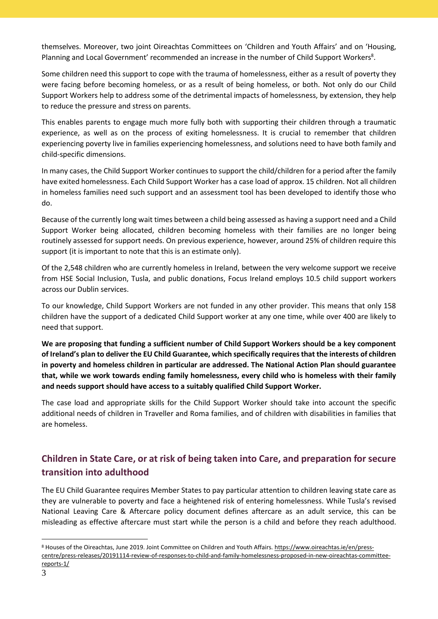themselves. Moreover, two joint Oireachtas Committees on 'Children and Youth Affairs' and on 'Housing, Planning and Local Government' recommended an increase in the number of Child Support Workers<sup>8</sup>.

Some children need this support to cope with the trauma of homelessness, either as a result of poverty they were facing before becoming homeless, or as a result of being homeless, or both. Not only do our Child Support Workers help to address some of the detrimental impacts of homelessness, by extension, they help to reduce the pressure and stress on parents.

This enables parents to engage much more fully both with supporting their children through a traumatic experience, as well as on the process of exiting homelessness. It is crucial to remember that children experiencing poverty live in families experiencing homelessness, and solutions need to have both family and child-specific dimensions.

In many cases, the Child Support Worker continues to support the child/children for a period after the family have exited homelessness. Each Child Support Worker has a case load of approx. 15 children. Not all children in homeless families need such support and an assessment tool has been developed to identify those who do.

Because of the currently long wait times between a child being assessed as having a support need and a Child Support Worker being allocated, children becoming homeless with their families are no longer being routinely assessed for support needs. On previous experience, however, around 25% of children require this support (it is important to note that this is an estimate only).

Of the 2,548 children who are currently homeless in Ireland, between the very welcome support we receive from HSE Social Inclusion, Tusla, and public donations, Focus Ireland employs 10.5 child support workers across our Dublin services.

To our knowledge, Child Support Workers are not funded in any other provider. This means that only 158 children have the support of a dedicated Child Support worker at any one time, while over 400 are likely to need that support.

**We are proposing that funding a sufficient number of Child Support Workers should be a key component of Ireland's plan to deliver the EU Child Guarantee, which specifically requires that the interests of children in poverty and homeless children in particular are addressed. The National Action Plan should guarantee that, while we work towards ending family homelessness, every child who is homeless with their family and needs support should have access to a suitably qualified Child Support Worker.**

The case load and appropriate skills for the Child Support Worker should take into account the specific additional needs of children in Traveller and Roma families, and of children with disabilities in families that are homeless.

## **Children in State Care, or at risk of being taken into Care, and preparation for secure transition into adulthood**

The EU Child Guarantee requires Member States to pay particular attention to children leaving state care as they are vulnerable to poverty and face a heightened risk of entering homelessness. While Tusla's revised National Leaving Care & Aftercare policy document defines aftercare as an adult service, this can be misleading as effective aftercare must start while the person is a child and before they reach adulthood.

<sup>8</sup> Houses of the Oireachtas, June 2019. Joint Committee on Children and Youth Affairs[. https://www.oireachtas.ie/en/press](https://www.oireachtas.ie/en/press-centre/press-releases/20191114-review-of-responses-to-child-and-family-homelessness-proposed-in-new-oireachtas-committee-reports-1/)[centre/press-releases/20191114-review-of-responses-to-child-and-family-homelessness-proposed-in-new-oireachtas-committee](https://www.oireachtas.ie/en/press-centre/press-releases/20191114-review-of-responses-to-child-and-family-homelessness-proposed-in-new-oireachtas-committee-reports-1/)[reports-1/](https://www.oireachtas.ie/en/press-centre/press-releases/20191114-review-of-responses-to-child-and-family-homelessness-proposed-in-new-oireachtas-committee-reports-1/)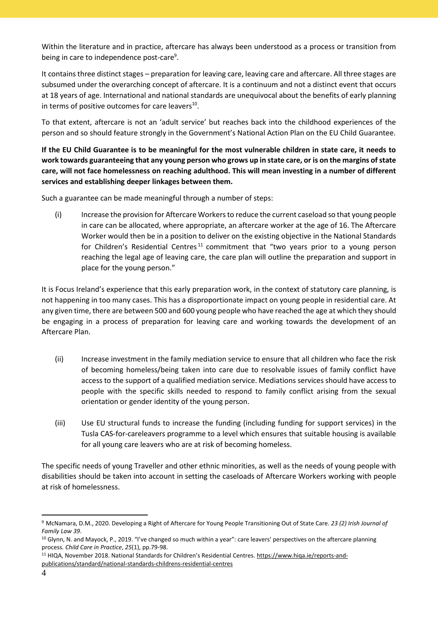Within the literature and in practice, aftercare has always been understood as a process or transition from being in care to independence post-care<sup>9</sup>.

It contains three distinct stages – preparation for leaving care, leaving care and aftercare. All three stages are subsumed under the overarching concept of aftercare. It is a continuum and not a distinct event that occurs at 18 years of age. International and national standards are unequivocal about the benefits of early planning in terms of positive outcomes for care leavers<sup>10</sup>.

To that extent, aftercare is not an 'adult service' but reaches back into the childhood experiences of the person and so should feature strongly in the Government's National Action Plan on the EU Child Guarantee.

**If the EU Child Guarantee is to be meaningful for the most vulnerable children in state care, it needs to work towards guaranteeing that any young person who grows up in state care, or is on the margins of state care, will not face homelessness on reaching adulthood. This will mean investing in a number of different services and establishing deeper linkages between them.**

Such a guarantee can be made meaningful through a number of steps:

(i) Increase the provision for Aftercare Workers to reduce the current caseload so that young people in care can be allocated, where appropriate, an aftercare worker at the age of 16. The Aftercare Worker would then be in a position to deliver on the existing objective in the National Standards for Children's Residential Centres<sup>11</sup> commitment that "two years prior to a young person reaching the legal age of leaving care, the care plan will outline the preparation and support in place for the young person."

It is Focus Ireland's experience that this early preparation work, in the context of statutory care planning, is not happening in too many cases. This has a disproportionate impact on young people in residential care. At any given time, there are between 500 and 600 young people who have reached the age at which they should be engaging in a process of preparation for leaving care and working towards the development of an Aftercare Plan. 

- (ii) Increase investment in the family mediation service to ensure that all children who face the risk of becoming homeless/being taken into care due to resolvable issues of family conflict have access to the support of a qualified mediation service. Mediations services should have access to people with the specific skills needed to respond to family conflict arising from the sexual orientation or gender identity of the young person.
- (iii) Use EU structural funds to increase the funding (including funding for support services) in the Tusla CAS-for-careleavers programme to a level which ensures that suitable housing is available for all young care leavers who are at risk of becoming homeless.

The specific needs of young Traveller and other ethnic minorities, as well as the needs of young people with disabilities should be taken into account in setting the caseloads of Aftercare Workers working with people at risk of homelessness.

<sup>9</sup> McNamara, D.M., 2020. Developing a Right of Aftercare for Young People Transitioning Out of State Care. *23 (2) Irish Journal of Family Law 39*.

<sup>10</sup> Glynn, N. and Mayock, P., 2019. "I've changed so much within a year": care leavers' perspectives on the aftercare planning process. *Child Care in Practice*, *25*(1), pp.79-98.

<sup>11</sup> HIQA, November 2018. National Standards for Children's Residential Centres. [https://www.hiqa.ie/reports-and](https://www.hiqa.ie/reports-and-publications/standard/national-standards-childrens-residential-centres)[publications/standard/national-standards-childrens-residential-centres](https://www.hiqa.ie/reports-and-publications/standard/national-standards-childrens-residential-centres)